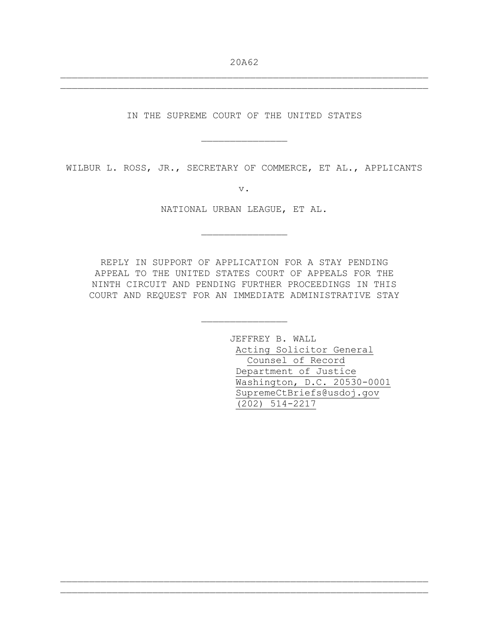20A62 \_\_\_\_\_\_\_\_\_\_\_\_\_\_\_\_\_\_\_\_\_\_\_\_\_\_\_\_\_\_\_\_\_\_\_\_\_\_\_\_\_\_\_\_\_\_\_\_\_\_\_\_\_\_\_\_\_\_\_\_\_\_\_\_

\_\_\_\_\_\_\_\_\_\_\_\_\_\_\_\_\_\_\_\_\_\_\_\_\_\_\_\_\_\_\_\_\_\_\_\_\_\_\_\_\_\_\_\_\_\_\_\_\_\_\_\_\_\_\_\_\_\_\_\_\_\_\_\_

IN THE SUPREME COURT OF THE UNITED STATES

\_\_\_\_\_\_\_\_\_\_\_\_\_\_\_

WILBUR L. ROSS, JR., SECRETARY OF COMMERCE, ET AL., APPLICANTS

v.

NATIONAL URBAN LEAGUE, ET AL.

\_\_\_\_\_\_\_\_\_\_\_\_\_\_\_

REPLY IN SUPPORT OF APPLICATION FOR A STAY PENDING APPEAL TO THE UNITED STATES COURT OF APPEALS FOR THE NINTH CIRCUIT AND PENDING FURTHER PROCEEDINGS IN THIS COURT AND REQUEST FOR AN IMMEDIATE ADMINISTRATIVE STAY

\_\_\_\_\_\_\_\_\_\_\_\_\_\_\_

\_\_\_\_\_\_\_\_\_\_\_\_\_\_\_\_\_\_\_\_\_\_\_\_\_\_\_\_\_\_\_\_\_\_\_\_\_\_\_\_\_\_\_\_\_\_\_\_\_\_\_\_\_\_\_\_\_\_\_\_\_\_\_\_ \_\_\_\_\_\_\_\_\_\_\_\_\_\_\_\_\_\_\_\_\_\_\_\_\_\_\_\_\_\_\_\_\_\_\_\_\_\_\_\_\_\_\_\_\_\_\_\_\_\_\_\_\_\_\_\_\_\_\_\_\_\_\_\_

JEFFREY B. WALL Acting Solicitor General Counsel of Record Department of Justice Washington, D.C. 20530-0001 SupremeCtBriefs@usdoj.gov (202) 514-2217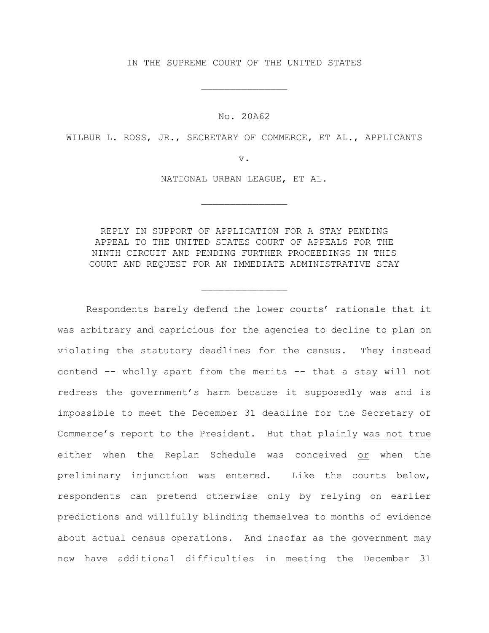## IN THE SUPREME COURT OF THE UNITED STATES

\_\_\_\_\_\_\_\_\_\_\_\_\_\_\_

No. 20A62

WILBUR L. ROSS, JR., SECRETARY OF COMMERCE, ET AL., APPLICANTS

v.

NATIONAL URBAN LEAGUE, ET AL.

\_\_\_\_\_\_\_\_\_\_\_\_\_\_\_

REPLY IN SUPPORT OF APPLICATION FOR A STAY PENDING APPEAL TO THE UNITED STATES COURT OF APPEALS FOR THE NINTH CIRCUIT AND PENDING FURTHER PROCEEDINGS IN THIS COURT AND REQUEST FOR AN IMMEDIATE ADMINISTRATIVE STAY

\_\_\_\_\_\_\_\_\_\_\_\_\_\_\_

Respondents barely defend the lower courts' rationale that it was arbitrary and capricious for the agencies to decline to plan on violating the statutory deadlines for the census. They instead contend –- wholly apart from the merits -– that a stay will not redress the government's harm because it supposedly was and is impossible to meet the December 31 deadline for the Secretary of Commerce's report to the President. But that plainly was not true either when the Replan Schedule was conceived or when the preliminary injunction was entered. Like the courts below, respondents can pretend otherwise only by relying on earlier predictions and willfully blinding themselves to months of evidence about actual census operations. And insofar as the government may now have additional difficulties in meeting the December 31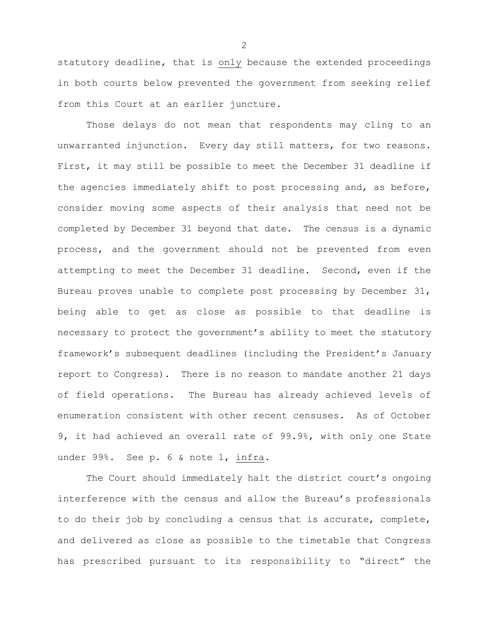statutory deadline, that is only because the extended proceedings in both courts below prevented the government from seeking relief from this Court at an earlier juncture.

Those delays do not mean that respondents may cling to an unwarranted injunction. Every day still matters, for two reasons. First, it may still be possible to meet the December 31 deadline if the agencies immediately shift to post processing and, as before, consider moving some aspects of their analysis that need not be completed by December 31 beyond that date. The census is a dynamic process, and the government should not be prevented from even attempting to meet the December 31 deadline. Second, even if the Bureau proves unable to complete post processing by December 31, being able to get as close as possible to that deadline is necessary to protect the government's ability to meet the statutory framework's subsequent deadlines (including the President's January report to Congress). There is no reason to mandate another 21 days of field operations. The Bureau has already achieved levels of enumeration consistent with other recent censuses. As of October 9, it had achieved an overall rate of 99.9%, with only one State under 99%. See p. 6 & note 1, infra.

The Court should immediately halt the district court's ongoing interference with the census and allow the Bureau's professionals to do their job by concluding a census that is accurate, complete, and delivered as close as possible to the timetable that Congress has prescribed pursuant to its responsibility to "direct" the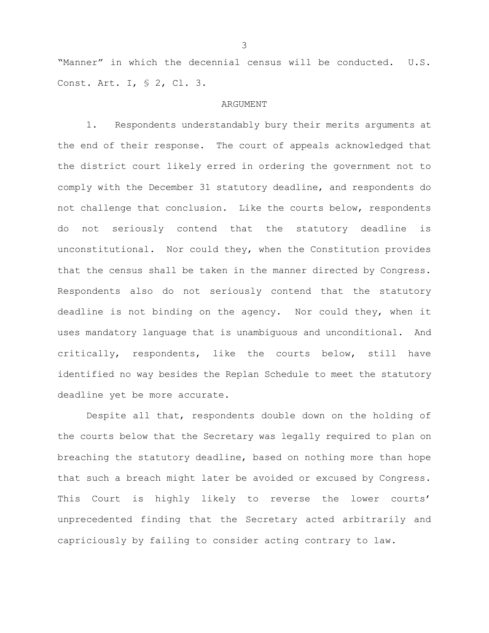"Manner" in which the decennial census will be conducted. U.S. Const. Art. I, § 2, Cl. 3.

## ARGUMENT

1. Respondents understandably bury their merits arguments at the end of their response. The court of appeals acknowledged that the district court likely erred in ordering the government not to comply with the December 31 statutory deadline, and respondents do not challenge that conclusion. Like the courts below, respondents do not seriously contend that the statutory deadline is unconstitutional. Nor could they, when the Constitution provides that the census shall be taken in the manner directed by Congress. Respondents also do not seriously contend that the statutory deadline is not binding on the agency. Nor could they, when it uses mandatory language that is unambiguous and unconditional. And critically, respondents, like the courts below, still have identified no way besides the Replan Schedule to meet the statutory deadline yet be more accurate.

Despite all that, respondents double down on the holding of the courts below that the Secretary was legally required to plan on breaching the statutory deadline, based on nothing more than hope that such a breach might later be avoided or excused by Congress. This Court is highly likely to reverse the lower courts' unprecedented finding that the Secretary acted arbitrarily and capriciously by failing to consider acting contrary to law.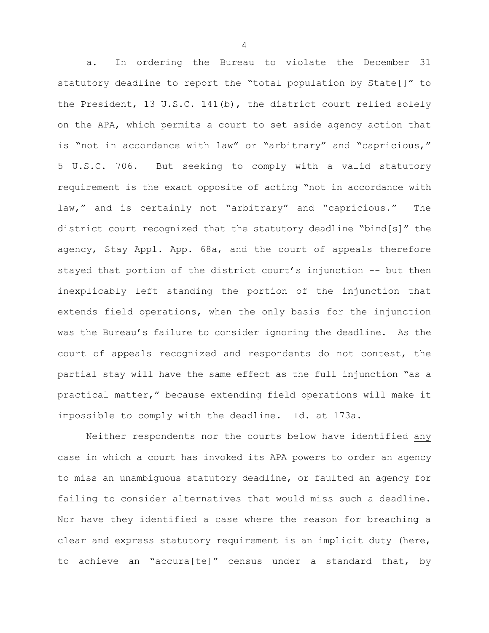a. In ordering the Bureau to violate the December 31 statutory deadline to report the "total population by State[]" to the President, 13 U.S.C. 141(b), the district court relied solely on the APA, which permits a court to set aside agency action that is "not in accordance with law" or "arbitrary" and "capricious," 5 U.S.C. 706. But seeking to comply with a valid statutory requirement is the exact opposite of acting "not in accordance with law," and is certainly not "arbitrary" and "capricious." The district court recognized that the statutory deadline "bind[s]" the agency, Stay Appl. App. 68a, and the court of appeals therefore stayed that portion of the district court's injunction -- but then inexplicably left standing the portion of the injunction that extends field operations, when the only basis for the injunction was the Bureau's failure to consider ignoring the deadline. As the court of appeals recognized and respondents do not contest, the partial stay will have the same effect as the full injunction "as a practical matter," because extending field operations will make it impossible to comply with the deadline. Id. at 173a.

Neither respondents nor the courts below have identified any case in which a court has invoked its APA powers to order an agency to miss an unambiguous statutory deadline, or faulted an agency for failing to consider alternatives that would miss such a deadline. Nor have they identified a case where the reason for breaching a clear and express statutory requirement is an implicit duty (here, to achieve an "accura[te]" census under a standard that, by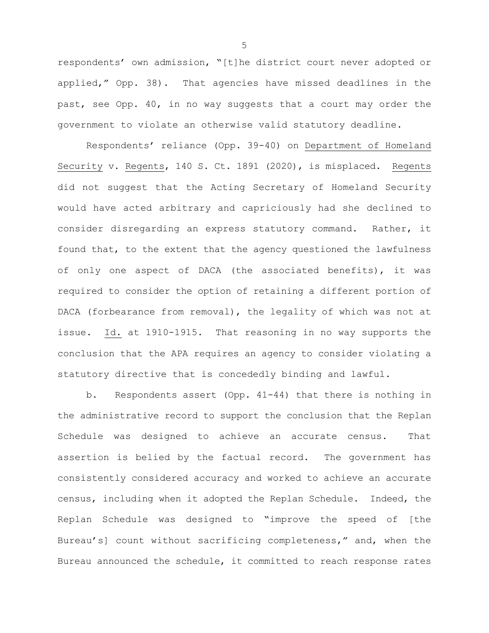respondents' own admission, "[t]he district court never adopted or applied," Opp. 38). That agencies have missed deadlines in the past, see Opp. 40, in no way suggests that a court may order the government to violate an otherwise valid statutory deadline.

Respondents' reliance (Opp. 39-40) on Department of Homeland Security v. Regents, 140 S. Ct. 1891 (2020), is misplaced. Regents did not suggest that the Acting Secretary of Homeland Security would have acted arbitrary and capriciously had she declined to consider disregarding an express statutory command. Rather, it found that, to the extent that the agency questioned the lawfulness of only one aspect of DACA (the associated benefits), it was required to consider the option of retaining a different portion of DACA (forbearance from removal), the legality of which was not at issue. Id. at 1910-1915. That reasoning in no way supports the conclusion that the APA requires an agency to consider violating a statutory directive that is concededly binding and lawful.

b. Respondents assert (Opp. 41-44) that there is nothing in the administrative record to support the conclusion that the Replan Schedule was designed to achieve an accurate census. That assertion is belied by the factual record. The government has consistently considered accuracy and worked to achieve an accurate census, including when it adopted the Replan Schedule. Indeed, the Replan Schedule was designed to "improve the speed of [the Bureau's] count without sacrificing completeness," and, when the Bureau announced the schedule, it committed to reach response rates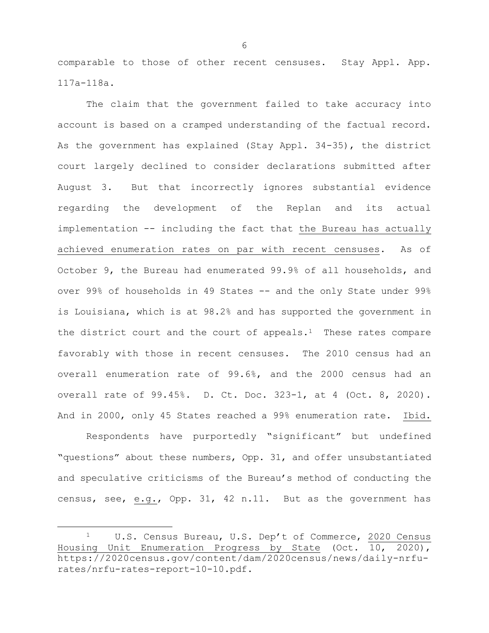comparable to those of other recent censuses. Stay Appl. App. 117a-118a.

The claim that the government failed to take accuracy into account is based on a cramped understanding of the factual record. As the government has explained (Stay Appl. 34-35), the district court largely declined to consider declarations submitted after August 3. But that incorrectly ignores substantial evidence regarding the development of the Replan and its actual implementation -- including the fact that the Bureau has actually achieved enumeration rates on par with recent censuses. As of October 9, the Bureau had enumerated 99.9% of all households, and over 99% of households in 49 States -- and the only State under 99% is Louisiana, which is at 98.2% and has supported the government in the district court and the court of appeals.<sup>1</sup> These rates compare favorably with those in recent censuses. The 2010 census had an overall enumeration rate of 99.6%, and the 2000 census had an overall rate of 99.45%. D. Ct. Doc. 323-1, at 4 (Oct. 8, 2020). And in 2000, only 45 States reached a 99% enumeration rate. Ibid.

Respondents have purportedly "significant" but undefined "questions" about these numbers, Opp. 31, and offer unsubstantiated and speculative criticisms of the Bureau's method of conducting the census, see, e.g., Opp. 31, 42 n.11. But as the government has

 $\overline{a}$ 

<sup>1</sup> U.S. Census Bureau, U.S. Dep't of Commerce, 2020 Census Housing Unit Enumeration Progress by State (Oct. 10, 2020), https://2020census.gov/content/dam/2020census/news/daily-nrfurates/nrfu-rates-report-10-10.pdf.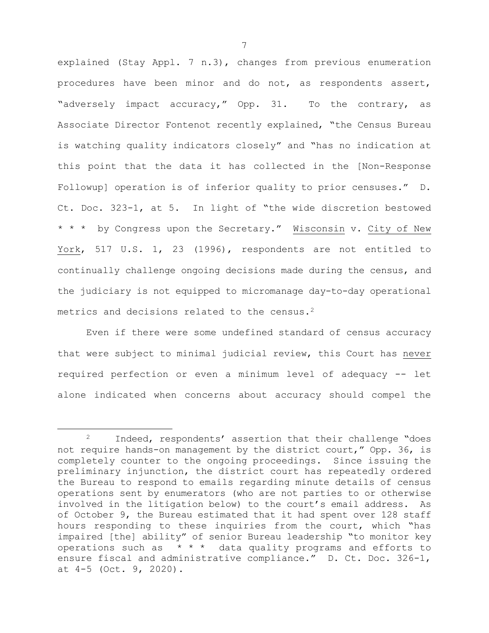explained (Stay Appl. 7 n.3), changes from previous enumeration procedures have been minor and do not, as respondents assert, "adversely impact accuracy," Opp. 31. To the contrary, as Associate Director Fontenot recently explained, "the Census Bureau is watching quality indicators closely" and "has no indication at this point that the data it has collected in the [Non-Response Followup] operation is of inferior quality to prior censuses." D. Ct. Doc. 323-1, at 5. In light of "the wide discretion bestowed \* \* \* by Congress upon the Secretary." Wisconsin v. City of New York, 517 U.S. 1, 23 (1996), respondents are not entitled to continually challenge ongoing decisions made during the census, and the judiciary is not equipped to micromanage day-to-day operational metrics and decisions related to the census.<sup>2</sup>

Even if there were some undefined standard of census accuracy that were subject to minimal judicial review, this Court has never required perfection or even a minimum level of adequacy -- let alone indicated when concerns about accuracy should compel the

 $\overline{a}$ 

<sup>2</sup> Indeed, respondents' assertion that their challenge "does not require hands-on management by the district court," Opp. 36, is completely counter to the ongoing proceedings. Since issuing the preliminary injunction, the district court has repeatedly ordered the Bureau to respond to emails regarding minute details of census operations sent by enumerators (who are not parties to or otherwise involved in the litigation below) to the court's email address. As of October 9, the Bureau estimated that it had spent over 128 staff hours responding to these inquiries from the court, which "has impaired [the] ability" of senior Bureau leadership "to monitor key operations such as  $* * *$  data quality programs and efforts to ensure fiscal and administrative compliance." D. Ct. Doc. 326-1, at 4-5 (Oct. 9, 2020).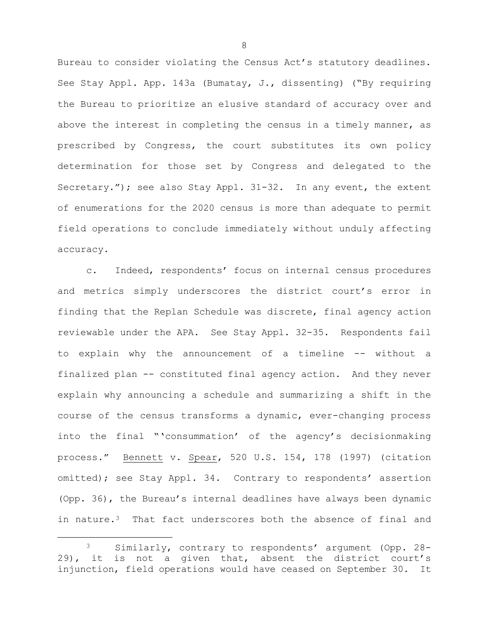Bureau to consider violating the Census Act's statutory deadlines. See Stay Appl. App. 143a (Bumatay, J., dissenting) ("By requiring the Bureau to prioritize an elusive standard of accuracy over and above the interest in completing the census in a timely manner, as prescribed by Congress, the court substitutes its own policy determination for those set by Congress and delegated to the Secretary."); see also Stay Appl. 31-32. In any event, the extent of enumerations for the 2020 census is more than adequate to permit field operations to conclude immediately without unduly affecting accuracy.

c. Indeed, respondents' focus on internal census procedures and metrics simply underscores the district court's error in finding that the Replan Schedule was discrete, final agency action reviewable under the APA. See Stay Appl. 32-35. Respondents fail to explain why the announcement of a timeline -- without a finalized plan -- constituted final agency action. And they never explain why announcing a schedule and summarizing a shift in the course of the census transforms a dynamic, ever-changing process into the final "'consummation' of the agency's decisionmaking process." Bennett v. Spear, 520 U.S. 154, 178 (1997) (citation omitted); see Stay Appl. 34. Contrary to respondents' assertion (Opp. 36), the Bureau's internal deadlines have always been dynamic in nature.<sup>3</sup> That fact underscores both the absence of final and

 $\overline{a}$ 

<sup>3</sup> Similarly, contrary to respondents' argument (Opp. 28- 29), it is not a given that, absent the district court's injunction, field operations would have ceased on September 30. It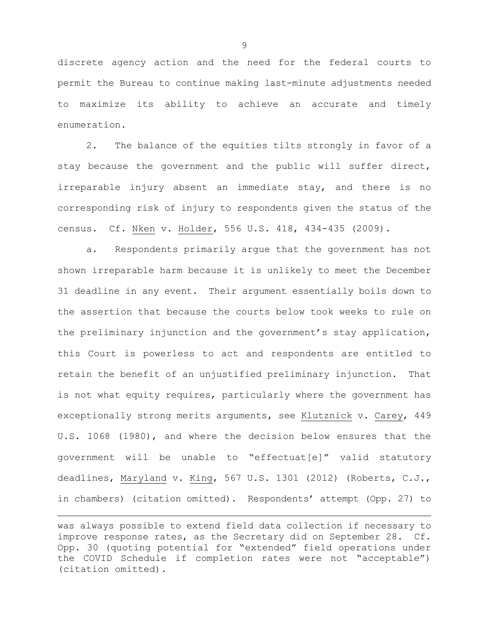discrete agency action and the need for the federal courts to permit the Bureau to continue making last-minute adjustments needed to maximize its ability to achieve an accurate and timely enumeration.

2. The balance of the equities tilts strongly in favor of a stay because the government and the public will suffer direct, irreparable injury absent an immediate stay, and there is no corresponding risk of injury to respondents given the status of the census. Cf. Nken v. Holder, 556 U.S. 418, 434-435 (2009).

a. Respondents primarily argue that the government has not shown irreparable harm because it is unlikely to meet the December 31 deadline in any event. Their argument essentially boils down to the assertion that because the courts below took weeks to rule on the preliminary injunction and the government's stay application, this Court is powerless to act and respondents are entitled to retain the benefit of an unjustified preliminary injunction. That is not what equity requires, particularly where the government has exceptionally strong merits arguments, see Klutznick v. Carey, 449 U.S. 1068 (1980), and where the decision below ensures that the government will be unable to "effectuat[e]" valid statutory deadlines, Maryland v. King, 567 U.S. 1301 (2012) (Roberts, C.J., in chambers) (citation omitted). Respondents' attempt (Opp. 27) to

 $\overline{a}$ 

was always possible to extend field data collection if necessary to improve response rates, as the Secretary did on September 28. Cf. Opp. 30 (quoting potential for "extended" field operations under the COVID Schedule if completion rates were not "acceptable") (citation omitted).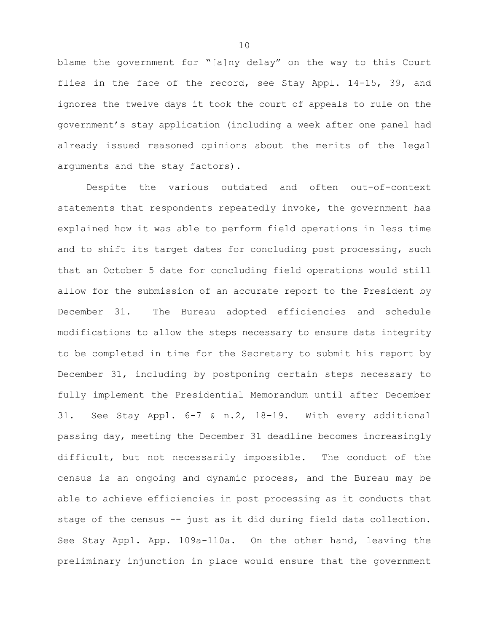blame the government for "[a]ny delay" on the way to this Court flies in the face of the record, see Stay Appl. 14-15, 39, and ignores the twelve days it took the court of appeals to rule on the government's stay application (including a week after one panel had already issued reasoned opinions about the merits of the legal arguments and the stay factors).

Despite the various outdated and often out-of-context statements that respondents repeatedly invoke, the government has explained how it was able to perform field operations in less time and to shift its target dates for concluding post processing, such that an October 5 date for concluding field operations would still allow for the submission of an accurate report to the President by December 31. The Bureau adopted efficiencies and schedule modifications to allow the steps necessary to ensure data integrity to be completed in time for the Secretary to submit his report by December 31, including by postponing certain steps necessary to fully implement the Presidential Memorandum until after December 31. See Stay Appl. 6-7 & n.2, 18-19. With every additional passing day, meeting the December 31 deadline becomes increasingly difficult, but not necessarily impossible. The conduct of the census is an ongoing and dynamic process, and the Bureau may be able to achieve efficiencies in post processing as it conducts that stage of the census -- just as it did during field data collection. See Stay Appl. App. 109a-110a. On the other hand, leaving the preliminary injunction in place would ensure that the government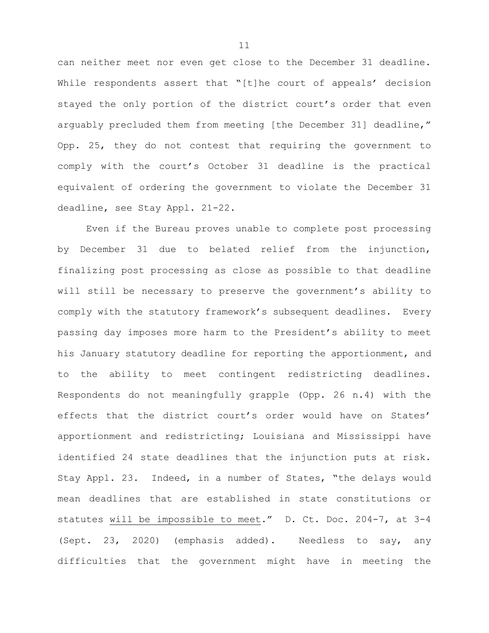can neither meet nor even get close to the December 31 deadline. While respondents assert that "[t]he court of appeals' decision stayed the only portion of the district court's order that even arguably precluded them from meeting [the December 31] deadline," Opp. 25, they do not contest that requiring the government to comply with the court's October 31 deadline is the practical equivalent of ordering the government to violate the December 31 deadline, see Stay Appl. 21-22.

Even if the Bureau proves unable to complete post processing by December 31 due to belated relief from the injunction, finalizing post processing as close as possible to that deadline will still be necessary to preserve the government's ability to comply with the statutory framework's subsequent deadlines. Every passing day imposes more harm to the President's ability to meet his January statutory deadline for reporting the apportionment, and to the ability to meet contingent redistricting deadlines. Respondents do not meaningfully grapple (Opp. 26 n.4) with the effects that the district court's order would have on States' apportionment and redistricting; Louisiana and Mississippi have identified 24 state deadlines that the injunction puts at risk. Stay Appl. 23. Indeed, in a number of States, "the delays would mean deadlines that are established in state constitutions or statutes will be impossible to meet." D. Ct. Doc. 204-7, at 3-4 (Sept. 23, 2020) (emphasis added). Needless to say, any difficulties that the government might have in meeting the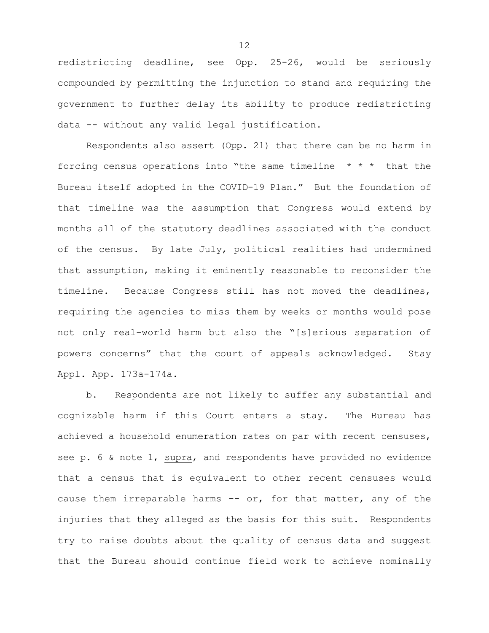redistricting deadline, see Opp. 25-26, would be seriously compounded by permitting the injunction to stand and requiring the government to further delay its ability to produce redistricting data -- without any valid legal justification.

Respondents also assert (Opp. 21) that there can be no harm in forcing census operations into "the same timeline \* \* \* that the Bureau itself adopted in the COVID-19 Plan." But the foundation of that timeline was the assumption that Congress would extend by months all of the statutory deadlines associated with the conduct of the census. By late July, political realities had undermined that assumption, making it eminently reasonable to reconsider the timeline. Because Congress still has not moved the deadlines, requiring the agencies to miss them by weeks or months would pose not only real-world harm but also the "[s]erious separation of powers concerns" that the court of appeals acknowledged. Stay Appl. App. 173a-174a.

b. Respondents are not likely to suffer any substantial and cognizable harm if this Court enters a stay. The Bureau has achieved a household enumeration rates on par with recent censuses, see p. 6 & note 1, supra, and respondents have provided no evidence that a census that is equivalent to other recent censuses would cause them irreparable harms -- or, for that matter, any of the injuries that they alleged as the basis for this suit. Respondents try to raise doubts about the quality of census data and suggest that the Bureau should continue field work to achieve nominally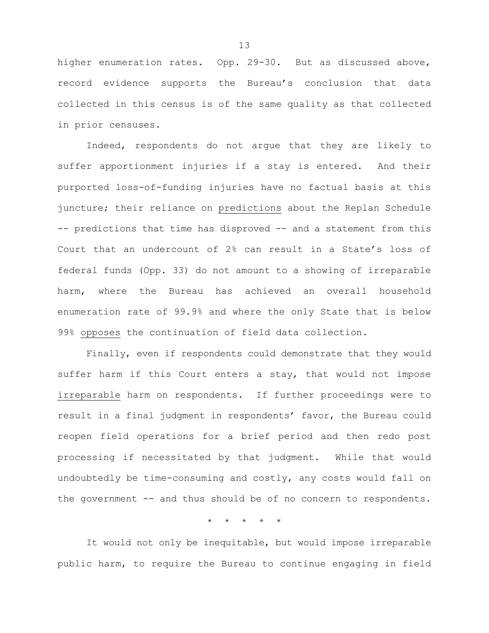higher enumeration rates. Opp. 29-30. But as discussed above, record evidence supports the Bureau's conclusion that data collected in this census is of the same quality as that collected in prior censuses.

Indeed, respondents do not argue that they are likely to suffer apportionment injuries if a stay is entered. And their purported loss-of-funding injuries have no factual basis at this juncture; their reliance on predictions about the Replan Schedule -- predictions that time has disproved -- and a statement from this Court that an undercount of 2% can result in a State's loss of federal funds (Opp. 33) do not amount to a showing of irreparable harm, where the Bureau has achieved an overall household enumeration rate of 99.9% and where the only State that is below 99% opposes the continuation of field data collection.

Finally, even if respondents could demonstrate that they would suffer harm if this Court enters a stay, that would not impose irreparable harm on respondents. If further proceedings were to result in a final judgment in respondents' favor, the Bureau could reopen field operations for a brief period and then redo post processing if necessitated by that judgment. While that would undoubtedly be time-consuming and costly, any costs would fall on the government -- and thus should be of no concern to respondents.

\* \* \* \* \*

It would not only be inequitable, but would impose irreparable public harm, to require the Bureau to continue engaging in field